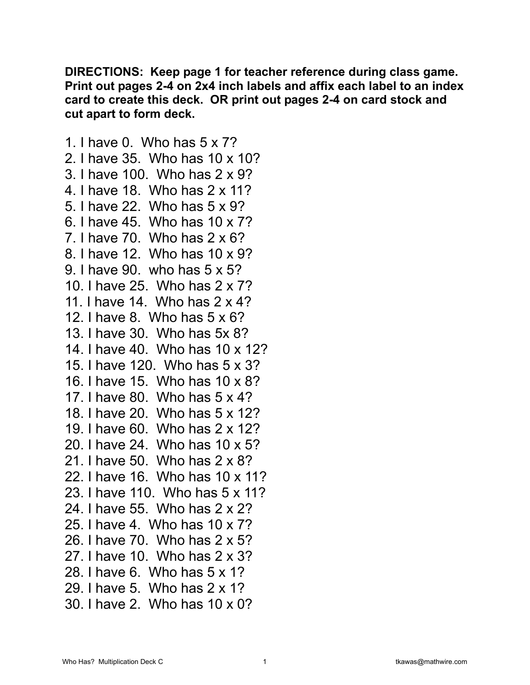**DIRECTIONS: Keep page 1 for teacher reference during class game. Print out pages 2-4 on 2x4 inch labels and affix each label to an index card to create this deck. OR print out pages 2-4 on card stock and cut apart to form deck.** 

1. I have 0. Who has 5 x 7? 2. I have 35. Who has 10 x 10? 3. I have 100. Who has 2 x 9? 4. I have 18. Who has 2 x 11? 5. I have 22. Who has 5 x 9? 6. I have 45. Who has 10 x 7? 7. I have 70. Who has 2 x 6? 8. I have 12. Who has 10 x 9? 9. I have 90. who has 5 x 5? 10. I have 25. Who has 2 x 7? 11. I have 14. Who has 2 x 4? 12. I have 8. Who has 5 x 6? 13. I have 30. Who has 5x 8? 14. I have 40. Who has 10 x 12? 15. I have 120. Who has 5 x 3? 16. I have 15. Who has 10 x 8? 17. I have 80. Who has 5 x 4? 18. I have 20. Who has 5 x 12? 19. I have 60. Who has 2 x 12? 20. I have 24. Who has 10 x 5? 21. I have 50. Who has 2 x 8? 22. I have 16. Who has 10 x 11? 23. I have 110. Who has 5 x 11? 24. I have 55. Who has 2 x 2? 25. I have 4. Who has 10 x 7? 26. I have 70. Who has 2 x 5? 27. I have 10. Who has 2 x 3? 28. I have 6. Who has 5 x 1? 29. I have 5. Who has 2 x 1? 30. I have 2. Who has 10 x 0?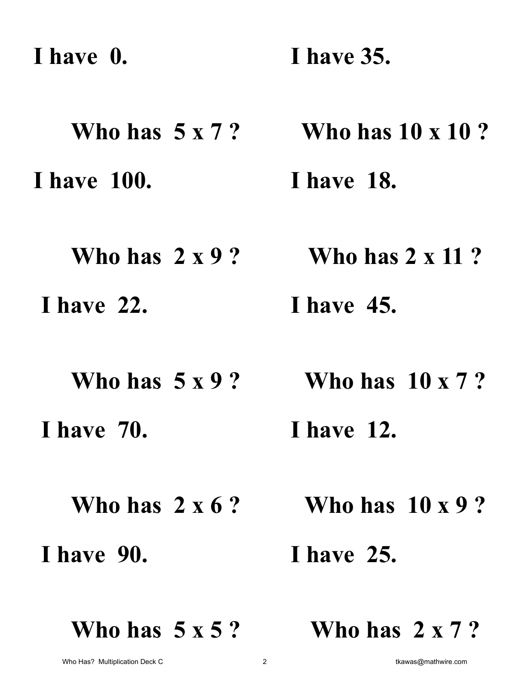**I have 0. Who has 5 x 7 ? I have 35. Who has 10 x 10 ? I have 100. Who has 2 x 9 ? I have 18. Who has 2 x 11 ? I have 22. Who has 5 x 9 ? I have 45. Who has 10 x 7 ? I have 70. Who has 2 x 6 ? I have 12. Who has 10 x 9 ? I have 90. I have 25.** 

**Who has 5 x 5 ?** 

**Who has 2 x 7 ?**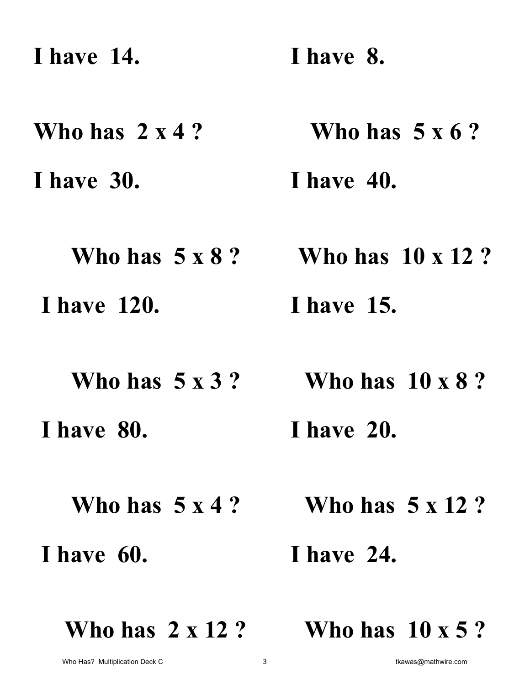**I have 14. I have 8.** 

**Who has 2 x 4 ? Who has 5 x 6 ?** 

**I have 30. I have 40.** 

**Who has 5 x 8 ? Who has 10 x 12 ? I have 120. I have 15.** 

**Who has 5 x 3 ? Who has 10 x 8 ? I have 80. I have 20.** 

**Who has 5 x 4 ?** 

 **I have 60.** 

 **I have 24.** 

**Who has 5 x 12 ?** 

**Who has 2 x 12 ?** 

**Who has 10 x 5 ?**